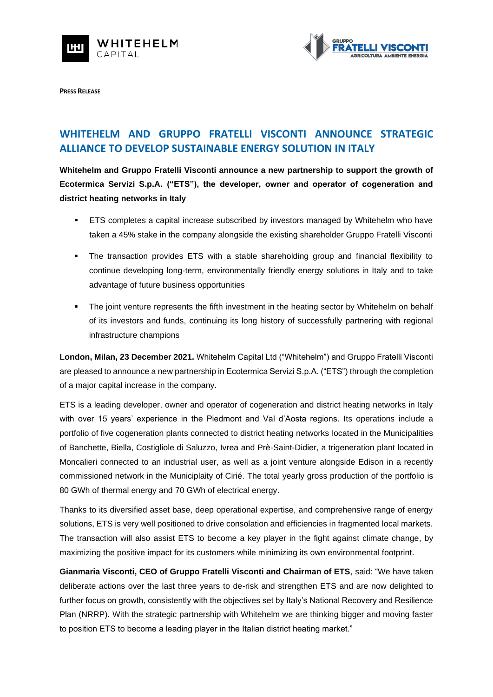



**PRESS RELEASE**

## **WHITEHELM AND GRUPPO FRATELLI VISCONTI ANNOUNCE STRATEGIC ALLIANCE TO DEVELOP SUSTAINABLE ENERGY SOLUTION IN ITALY**

**Whitehelm and Gruppo Fratelli Visconti announce a new partnership to support the growth of Ecotermica Servizi S.p.A. ("ETS"), the developer, owner and operator of cogeneration and district heating networks in Italy**

- ETS completes a capital increase subscribed by investors managed by Whitehelm who have taken a 45% stake in the company alongside the existing shareholder Gruppo Fratelli Visconti
- The transaction provides ETS with a stable shareholding group and financial flexibility to continue developing long-term, environmentally friendly energy solutions in Italy and to take advantage of future business opportunities
- **•** The joint venture represents the fifth investment in the heating sector by Whitehelm on behalf of its investors and funds, continuing its long history of successfully partnering with regional infrastructure champions

**London, Milan, 23 December 2021.** Whitehelm Capital Ltd ("Whitehelm") and Gruppo Fratelli Visconti are pleased to announce a new partnership in Ecotermica Servizi S.p.A. ("ETS") through the completion of a major capital increase in the company.

ETS is a leading developer, owner and operator of cogeneration and district heating networks in Italy with over 15 years' experience in the Piedmont and Val d'Aosta regions. Its operations include a portfolio of five cogeneration plants connected to district heating networks located in the Municipalities of Banchette, Biella, Costigliole di Saluzzo, Ivrea and Prè-Saint-Didier, a trigeneration plant located in Moncalieri connected to an industrial user, as well as a joint venture alongside Edison in a recently commissioned network in the Municiplaity of Cirié. The total yearly gross production of the portfolio is 80 GWh of thermal energy and 70 GWh of electrical energy.

Thanks to its diversified asset base, deep operational expertise, and comprehensive range of energy solutions, ETS is very well positioned to drive consolation and efficiencies in fragmented local markets. The transaction will also assist ETS to become a key player in the fight against climate change, by maximizing the positive impact for its customers while minimizing its own environmental footprint.

**Gianmaria Visconti, CEO of Gruppo Fratelli Visconti and Chairman of ETS**, said: "We have taken deliberate actions over the last three years to de-risk and strengthen ETS and are now delighted to further focus on growth, consistently with the objectives set by Italy's National Recovery and Resilience Plan (NRRP). With the strategic partnership with Whitehelm we are thinking bigger and moving faster to position ETS to become a leading player in the Italian district heating market."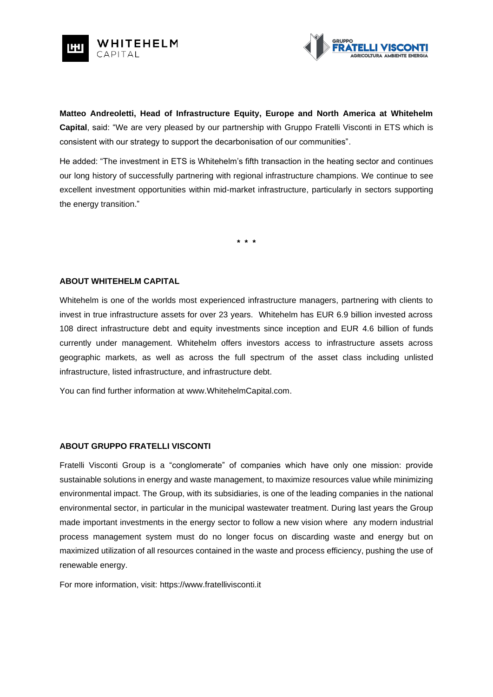



**Matteo Andreoletti, Head of Infrastructure Equity, Europe and North America at Whitehelm Capital**, said: "We are very pleased by our partnership with Gruppo Fratelli Visconti in ETS which is consistent with our strategy to support the decarbonisation of our communities".

He added: "The investment in ETS is Whitehelm's fifth transaction in the heating sector and continues our long history of successfully partnering with regional infrastructure champions. We continue to see excellent investment opportunities within mid-market infrastructure, particularly in sectors supporting the energy transition."

**\* \* \***

## **ABOUT WHITEHELM CAPITAL**

Whitehelm is one of the worlds most experienced infrastructure managers, partnering with clients to invest in true infrastructure assets for over 23 years. Whitehelm has EUR 6.9 billion invested across 108 direct infrastructure debt and equity investments since inception and EUR 4.6 billion of funds currently under management. Whitehelm offers investors access to infrastructure assets across geographic markets, as well as across the full spectrum of the asset class including unlisted infrastructure, listed infrastructure, and infrastructure debt.

You can find further information at [www.WhitehelmCapital.com.](http://www.whitehelmcapital.com/)

## **ABOUT GRUPPO FRATELLI VISCONTI**

Fratelli Visconti Group is a "conglomerate" of companies which have only one mission: provide sustainable solutions in energy and waste management, to maximize resources value while minimizing environmental impact. The Group, with its subsidiaries, is one of the leading companies in the national environmental sector, in particular in the municipal wastewater treatment. During last years the Group made important investments in the energy sector to follow a new vision where any modern industrial process management system must do no longer focus on discarding waste and energy but on maximized utilization of all resources contained in the waste and process efficiency, pushing the use of renewable energy.

For more information, visit: https://www.fratellivisconti.it